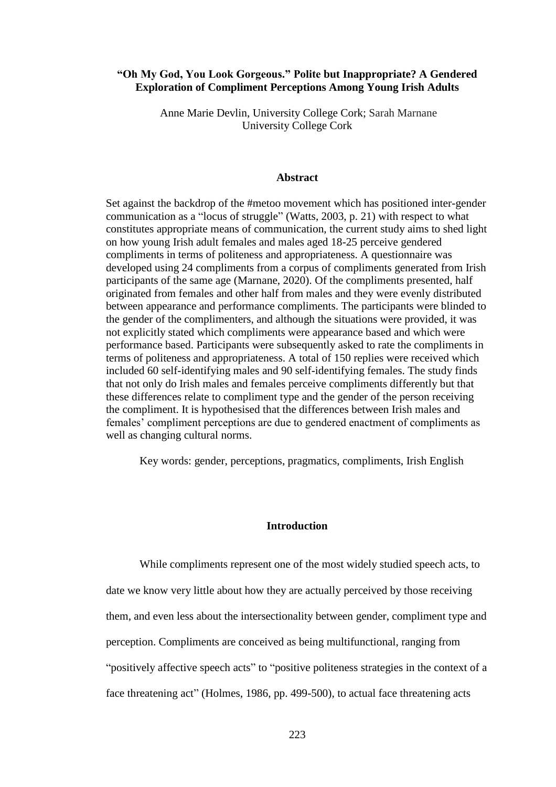# **"Oh My God, You Look Gorgeous." Polite but Inappropriate? A Gendered Exploration of Compliment Perceptions Among Young Irish Adults**

Anne Marie Devlin, University College Cork; Sarah Marnane University College Cork

### **Abstract**

Set against the backdrop of the #metoo movement which has positioned inter-gender communication as a "locus of struggle" (Watts, 2003, p. 21) with respect to what constitutes appropriate means of communication, the current study aims to shed light on how young Irish adult females and males aged 18-25 perceive gendered compliments in terms of politeness and appropriateness. A questionnaire was developed using 24 compliments from a corpus of compliments generated from Irish participants of the same age (Marnane, 2020). Of the compliments presented, half originated from females and other half from males and they were evenly distributed between appearance and performance compliments. The participants were blinded to the gender of the complimenters, and although the situations were provided, it was not explicitly stated which compliments were appearance based and which were performance based. Participants were subsequently asked to rate the compliments in terms of politeness and appropriateness. A total of 150 replies were received which included 60 self-identifying males and 90 self-identifying females. The study finds that not only do Irish males and females perceive compliments differently but that these differences relate to compliment type and the gender of the person receiving the compliment. It is hypothesised that the differences between Irish males and females' compliment perceptions are due to gendered enactment of compliments as well as changing cultural norms.

Key words: gender, perceptions, pragmatics, compliments, Irish English

## **Introduction**

While compliments represent one of the most widely studied speech acts, to date we know very little about how they are actually perceived by those receiving them, and even less about the intersectionality between gender, compliment type and perception. Compliments are conceived as being multifunctional, ranging from "positively affective speech acts" to "positive politeness strategies in the context of a face threatening act" (Holmes, 1986, pp. 499-500), to actual face threatening acts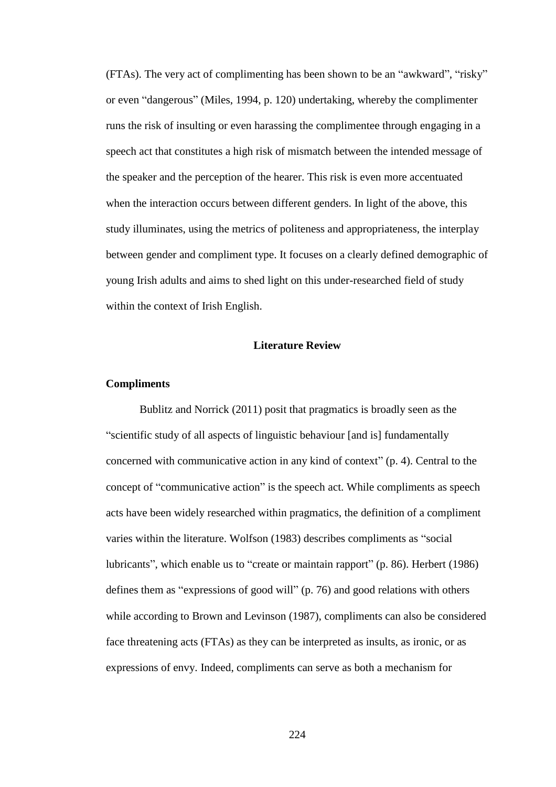(FTAs). The very act of complimenting has been shown to be an "awkward", "risky" or even "dangerous" (Miles, 1994, p. 120) undertaking, whereby the complimenter runs the risk of insulting or even harassing the complimentee through engaging in a speech act that constitutes a high risk of mismatch between the intended message of the speaker and the perception of the hearer. This risk is even more accentuated when the interaction occurs between different genders. In light of the above, this study illuminates, using the metrics of politeness and appropriateness, the interplay between gender and compliment type. It focuses on a clearly defined demographic of young Irish adults and aims to shed light on this under-researched field of study within the context of Irish English.

# **Literature Review**

### **Compliments**

Bublitz and Norrick (2011) posit that pragmatics is broadly seen as the "scientific study of all aspects of linguistic behaviour [and is] fundamentally concerned with communicative action in any kind of context" (p. 4). Central to the concept of "communicative action" is the speech act. While compliments as speech acts have been widely researched within pragmatics, the definition of a compliment varies within the literature. Wolfson (1983) describes compliments as "social lubricants", which enable us to "create or maintain rapport" (p. 86). Herbert (1986) defines them as "expressions of good will" (p. 76) and good relations with others while according to Brown and Levinson (1987), compliments can also be considered face threatening acts (FTAs) as they can be interpreted as insults, as ironic, or as expressions of envy. Indeed, compliments can serve as both a mechanism for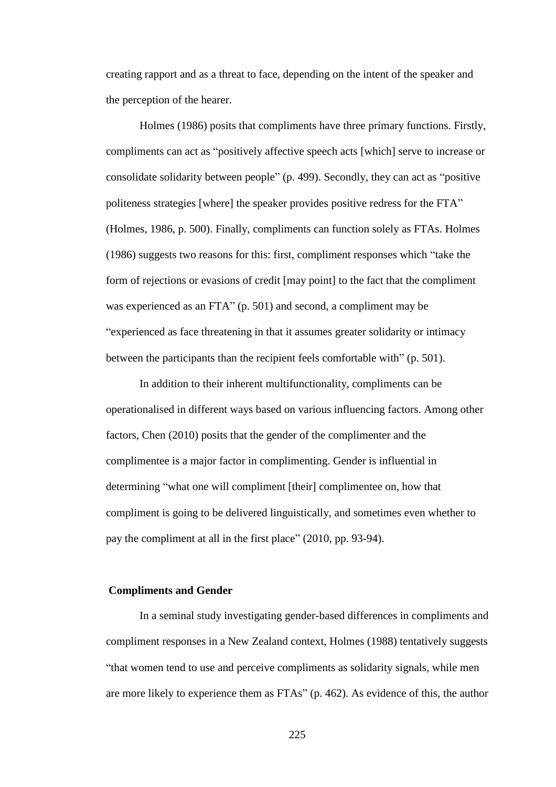creating rapport and as a threat to face, depending on the intent of the speaker and the perception of the hearer.

Holmes (1986) posits that compliments have three primary functions. Firstly, compliments can act as "positively affective speech acts [which] serve to increase or consolidate solidarity between people" (p. 499). Secondly, they can act as "positive politeness strategies [where] the speaker provides positive redress for the FTA" (Holmes, 1986, p. 500). Finally, compliments can function solely as FTAs. Holmes (1986) suggests two reasons for this: first, compliment responses which "take the form of rejections or evasions of credit [may point] to the fact that the compliment was experienced as an FTA" (p. 501) and second, a compliment may be "experienced as face threatening in that it assumes greater solidarity or intimacy between the participants than the recipient feels comfortable with" (p. 501).

In addition to their inherent multifunctionality, compliments can be operationalised in different ways based on various influencing factors. Among other factors, Chen (2010) posits that the gender of the complimenter and the complimentee is a major factor in complimenting. Gender is influential in determining "what one will compliment [their] complimentee on, how that compliment is going to be delivered linguistically, and sometimes even whether to pay the compliment at all in the first place" (2010, pp. 93-94).

## **Compliments and Gender**

In a seminal study investigating gender-based differences in compliments and compliment responses in a New Zealand context, Holmes (1988) tentatively suggests "that women tend to use and perceive compliments as solidarity signals, while men are more likely to experience them as FTAs" (p. 462). As evidence of this, the author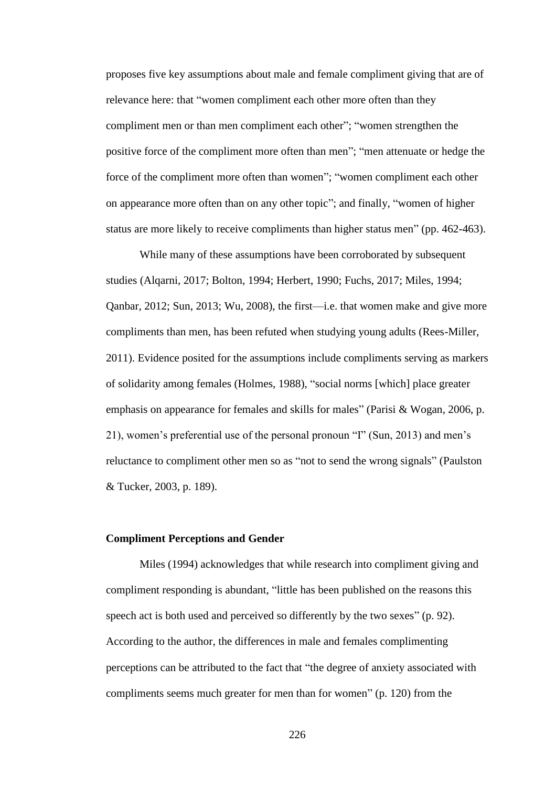proposes five key assumptions about male and female compliment giving that are of relevance here: that "women compliment each other more often than they compliment men or than men compliment each other"; "women strengthen the positive force of the compliment more often than men"; "men attenuate or hedge the force of the compliment more often than women"; "women compliment each other on appearance more often than on any other topic"; and finally, "women of higher status are more likely to receive compliments than higher status men" (pp. 462-463).

While many of these assumptions have been corroborated by subsequent studies (Alqarni, 2017; Bolton, 1994; Herbert, 1990; Fuchs, 2017; Miles, 1994; Qanbar, 2012; Sun, 2013; Wu, 2008), the first—i.e. that women make and give more compliments than men, has been refuted when studying young adults (Rees-Miller, 2011). Evidence posited for the assumptions include compliments serving as markers of solidarity among females (Holmes, 1988), "social norms [which] place greater emphasis on appearance for females and skills for males" (Parisi & Wogan, 2006, p. 21), women's preferential use of the personal pronoun "I" (Sun, 2013) and men's reluctance to compliment other men so as "not to send the wrong signals" (Paulston & Tucker, 2003, p. 189).

# **Compliment Perceptions and Gender**

Miles (1994) acknowledges that while research into compliment giving and compliment responding is abundant, "little has been published on the reasons this speech act is both used and perceived so differently by the two sexes" (p. 92). According to the author, the differences in male and females complimenting perceptions can be attributed to the fact that "the degree of anxiety associated with compliments seems much greater for men than for women" (p. 120) from the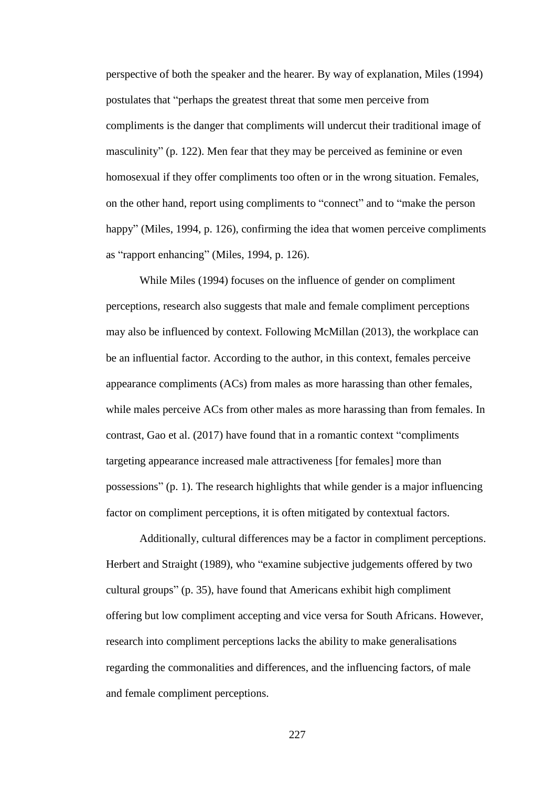perspective of both the speaker and the hearer. By way of explanation, Miles (1994) postulates that "perhaps the greatest threat that some men perceive from compliments is the danger that compliments will undercut their traditional image of masculinity" (p. 122). Men fear that they may be perceived as feminine or even homosexual if they offer compliments too often or in the wrong situation. Females, on the other hand, report using compliments to "connect" and to "make the person happy" (Miles, 1994, p. 126), confirming the idea that women perceive compliments as "rapport enhancing" (Miles, 1994, p. 126).

While Miles (1994) focuses on the influence of gender on compliment perceptions, research also suggests that male and female compliment perceptions may also be influenced by context. Following McMillan (2013), the workplace can be an influential factor. According to the author, in this context, females perceive appearance compliments (ACs) from males as more harassing than other females, while males perceive ACs from other males as more harassing than from females. In contrast, Gao et al. (2017) have found that in a romantic context "compliments targeting appearance increased male attractiveness [for females] more than possessions" (p. 1). The research highlights that while gender is a major influencing factor on compliment perceptions, it is often mitigated by contextual factors.

Additionally, cultural differences may be a factor in compliment perceptions. Herbert and Straight (1989), who "examine subjective judgements offered by two cultural groups" (p. 35), have found that Americans exhibit high compliment offering but low compliment accepting and vice versa for South Africans. However, research into compliment perceptions lacks the ability to make generalisations regarding the commonalities and differences, and the influencing factors, of male and female compliment perceptions.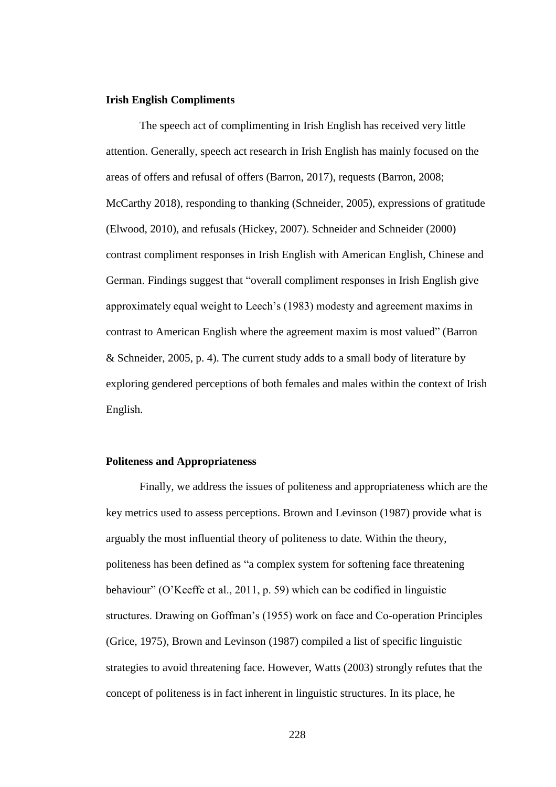### **Irish English Compliments**

The speech act of complimenting in Irish English has received very little attention. Generally, speech act research in Irish English has mainly focused on the areas of offers and refusal of offers (Barron, 2017), requests (Barron, 2008; McCarthy 2018), responding to thanking (Schneider, 2005), expressions of gratitude (Elwood, 2010), and refusals (Hickey, 2007). Schneider and Schneider (2000) contrast compliment responses in Irish English with American English, Chinese and German. Findings suggest that "overall compliment responses in Irish English give approximately equal weight to Leech's (1983) modesty and agreement maxims in contrast to American English where the agreement maxim is most valued" (Barron & Schneider, 2005, p. 4). The current study adds to a small body of literature by exploring gendered perceptions of both females and males within the context of Irish English.

#### **Politeness and Appropriateness**

Finally, we address the issues of politeness and appropriateness which are the key metrics used to assess perceptions. Brown and Levinson (1987) provide what is arguably the most influential theory of politeness to date. Within the theory, politeness has been defined as "a complex system for softening face threatening behaviour" (O'Keeffe et al., 2011, p. 59) which can be codified in linguistic structures. Drawing on Goffman's (1955) work on face and Co-operation Principles (Grice, 1975), Brown and Levinson (1987) compiled a list of specific linguistic strategies to avoid threatening face. However, Watts (2003) strongly refutes that the concept of politeness is in fact inherent in linguistic structures. In its place, he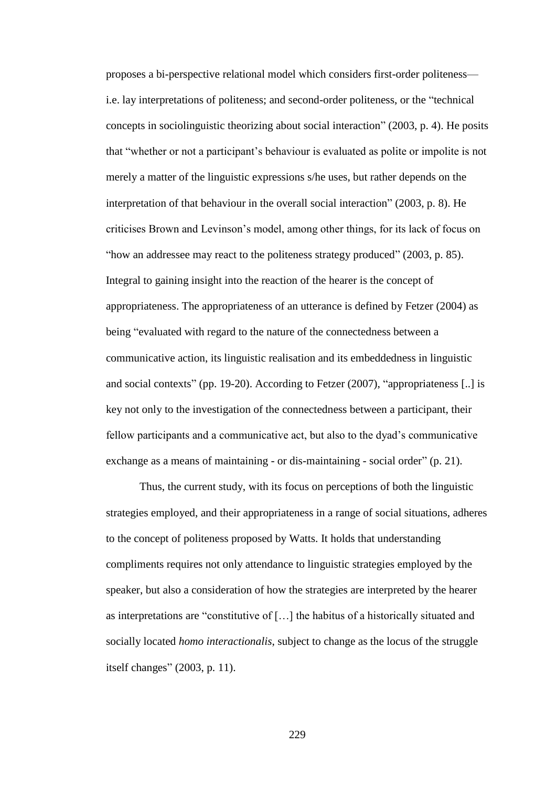proposes a bi-perspective relational model which considers first-order politeness i.e. lay interpretations of politeness; and second-order politeness, or the "technical concepts in sociolinguistic theorizing about social interaction" (2003, p. 4). He posits that "whether or not a participant's behaviour is evaluated as polite or impolite is not merely a matter of the linguistic expressions s/he uses, but rather depends on the interpretation of that behaviour in the overall social interaction" (2003, p. 8). He criticises Brown and Levinson's model, among other things, for its lack of focus on "how an addressee may react to the politeness strategy produced" (2003, p. 85). Integral to gaining insight into the reaction of the hearer is the concept of appropriateness. The appropriateness of an utterance is defined by Fetzer (2004) as being "evaluated with regard to the nature of the connectedness between a communicative action, its linguistic realisation and its embeddedness in linguistic and social contexts" (pp. 19-20). According to Fetzer (2007), "appropriateness [..] is key not only to the investigation of the connectedness between a participant, their fellow participants and a communicative act, but also to the dyad's communicative exchange as a means of maintaining - or dis-maintaining - social order" (p. 21).

Thus, the current study, with its focus on perceptions of both the linguistic strategies employed, and their appropriateness in a range of social situations, adheres to the concept of politeness proposed by Watts. It holds that understanding compliments requires not only attendance to linguistic strategies employed by the speaker, but also a consideration of how the strategies are interpreted by the hearer as interpretations are "constitutive of […] the habitus of a historically situated and socially located *homo interactionalis*, subject to change as the locus of the struggle itself changes" (2003, p. 11).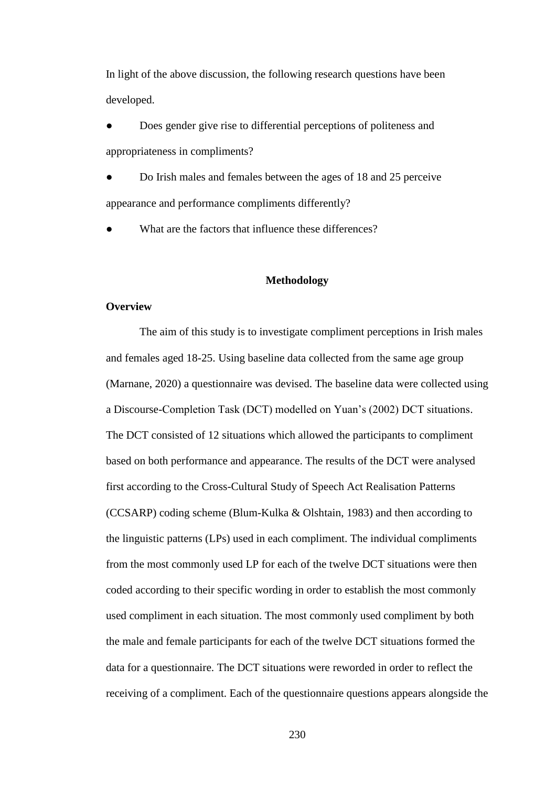In light of the above discussion, the following research questions have been developed.

Does gender give rise to differential perceptions of politeness and appropriateness in compliments?

Do Irish males and females between the ages of 18 and 25 perceive appearance and performance compliments differently?

What are the factors that influence these differences?

### **Methodology**

#### **Overview**

The aim of this study is to investigate compliment perceptions in Irish males and females aged 18-25. Using baseline data collected from the same age group (Marnane, 2020) a questionnaire was devised. The baseline data were collected using a Discourse-Completion Task (DCT) modelled on Yuan's (2002) DCT situations. The DCT consisted of 12 situations which allowed the participants to compliment based on both performance and appearance. The results of the DCT were analysed first according to the Cross-Cultural Study of Speech Act Realisation Patterns (CCSARP) coding scheme (Blum-Kulka & Olshtain, 1983) and then according to the linguistic patterns (LPs) used in each compliment. The individual compliments from the most commonly used LP for each of the twelve DCT situations were then coded according to their specific wording in order to establish the most commonly used compliment in each situation. The most commonly used compliment by both the male and female participants for each of the twelve DCT situations formed the data for a questionnaire. The DCT situations were reworded in order to reflect the receiving of a compliment. Each of the questionnaire questions appears alongside the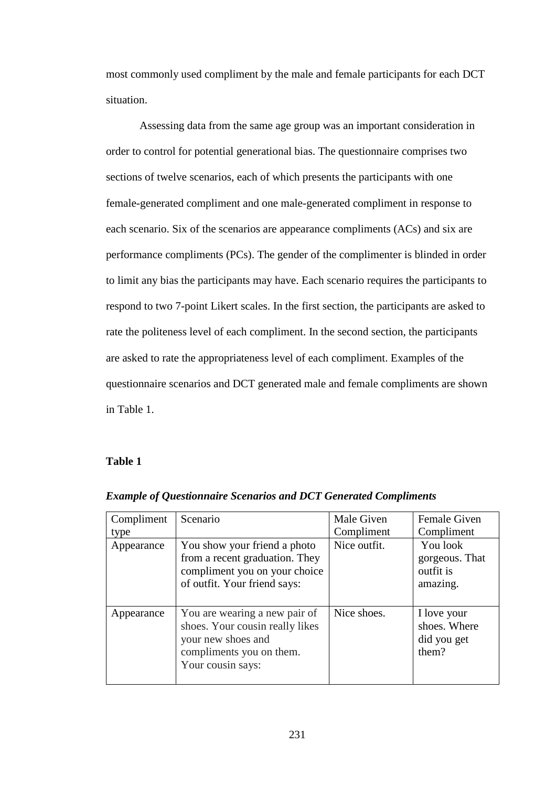most commonly used compliment by the male and female participants for each DCT situation.

Assessing data from the same age group was an important consideration in order to control for potential generational bias. The questionnaire comprises two sections of twelve scenarios, each of which presents the participants with one female-generated compliment and one male-generated compliment in response to each scenario. Six of the scenarios are appearance compliments (ACs) and six are performance compliments (PCs). The gender of the complimenter is blinded in order to limit any bias the participants may have. Each scenario requires the participants to respond to two 7-point Likert scales. In the first section, the participants are asked to rate the politeness level of each compliment. In the second section, the participants are asked to rate the appropriateness level of each compliment. Examples of the questionnaire scenarios and DCT generated male and female compliments are shown in Table 1.

## **Table 1**

| Compliment | Scenario                                                                                                                                | Male Given   | <b>Female Given</b>                                 |
|------------|-----------------------------------------------------------------------------------------------------------------------------------------|--------------|-----------------------------------------------------|
| type       |                                                                                                                                         | Compliment   | Compliment                                          |
| Appearance | You show your friend a photo<br>from a recent graduation. They<br>compliment you on your choice<br>of outfit. Your friend says:         | Nice outfit. | You look<br>gorgeous. That<br>outfit is<br>amazing. |
| Appearance | You are wearing a new pair of<br>shoes. Your cousin really likes<br>your new shoes and<br>compliments you on them.<br>Your cousin says: | Nice shoes.  | I love your<br>shoes. Where<br>did you get<br>them? |

*Example of Questionnaire Scenarios and DCT Generated Compliments*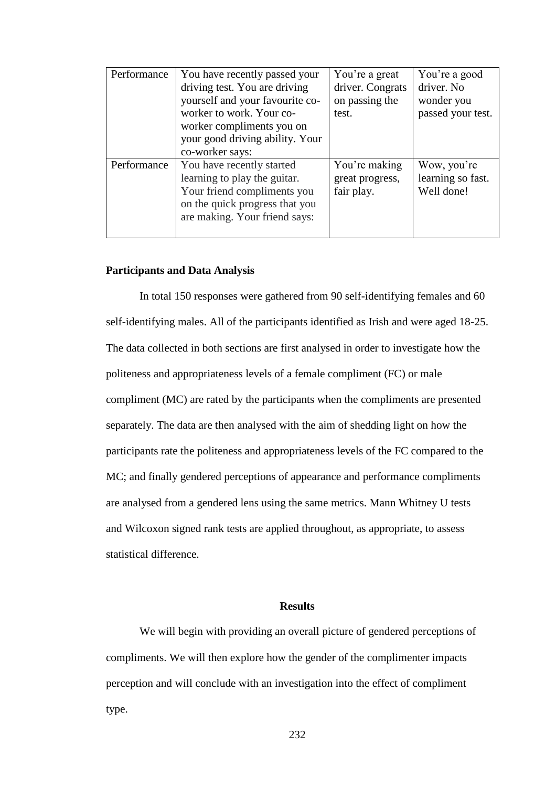| Performance | You have recently passed your<br>driving test. You are driving<br>yourself and your favourite co-<br>worker to work. Your co-<br>worker compliments you on<br>your good driving ability. Your<br>co-worker says: | You're a great<br>driver. Congrats<br>on passing the<br>test. | You're a good<br>driver. No<br>wonder you<br>passed your test. |
|-------------|------------------------------------------------------------------------------------------------------------------------------------------------------------------------------------------------------------------|---------------------------------------------------------------|----------------------------------------------------------------|
| Performance | You have recently started<br>learning to play the guitar.<br>Your friend compliments you<br>on the quick progress that you<br>are making. Your friend says:                                                      | You're making<br>great progress,<br>fair play.                | Wow, you're<br>learning so fast.<br>Well done!                 |

## **Participants and Data Analysis**

In total 150 responses were gathered from 90 self-identifying females and 60 self-identifying males. All of the participants identified as Irish and were aged 18-25. The data collected in both sections are first analysed in order to investigate how the politeness and appropriateness levels of a female compliment (FC) or male compliment (MC) are rated by the participants when the compliments are presented separately. The data are then analysed with the aim of shedding light on how the participants rate the politeness and appropriateness levels of the FC compared to the MC; and finally gendered perceptions of appearance and performance compliments are analysed from a gendered lens using the same metrics. Mann Whitney U tests and Wilcoxon signed rank tests are applied throughout, as appropriate, to assess statistical difference.

### **Results**

We will begin with providing an overall picture of gendered perceptions of compliments. We will then explore how the gender of the complimenter impacts perception and will conclude with an investigation into the effect of compliment type.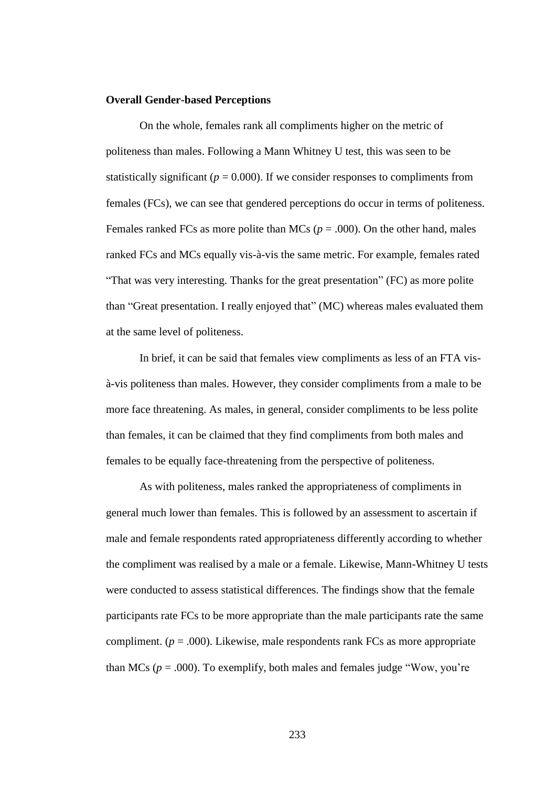#### **Overall Gender-based Perceptions**

On the whole, females rank all compliments higher on the metric of politeness than males. Following a Mann Whitney U test, this was seen to be statistically significant ( $p = 0.000$ ). If we consider responses to compliments from females (FCs), we can see that gendered perceptions do occur in terms of politeness. Females ranked FCs as more polite than MCs ( $p = .000$ ). On the other hand, males ranked FCs and MCs equally vis-à-vis the same metric. For example, females rated "That was very interesting. Thanks for the great presentation" (FC) as more polite than "Great presentation. I really enjoyed that" (MC) whereas males evaluated them at the same level of politeness.

In brief, it can be said that females view compliments as less of an FTA visà-vis politeness than males. However, they consider compliments from a male to be more face threatening. As males, in general, consider compliments to be less polite than females, it can be claimed that they find compliments from both males and females to be equally face-threatening from the perspective of politeness.

As with politeness, males ranked the appropriateness of compliments in general much lower than females. This is followed by an assessment to ascertain if male and female respondents rated appropriateness differently according to whether the compliment was realised by a male or a female. Likewise, Mann-Whitney U tests were conducted to assess statistical differences. The findings show that the female participants rate FCs to be more appropriate than the male participants rate the same compliment.  $(p = .000)$ . Likewise, male respondents rank FCs as more appropriate than MCs ( $p = .000$ ). To exemplify, both males and females judge "Wow, you're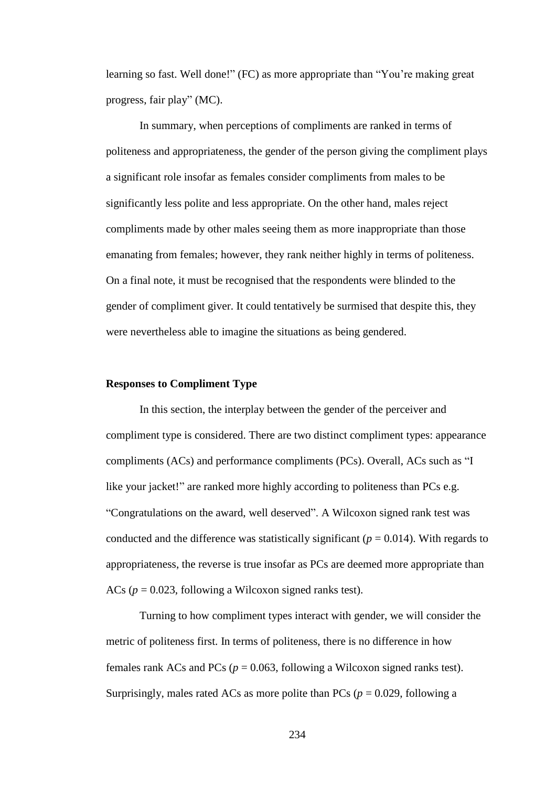learning so fast. Well done!" (FC) as more appropriate than "You're making great progress, fair play" (MC).

In summary, when perceptions of compliments are ranked in terms of politeness and appropriateness, the gender of the person giving the compliment plays a significant role insofar as females consider compliments from males to be significantly less polite and less appropriate. On the other hand, males reject compliments made by other males seeing them as more inappropriate than those emanating from females; however, they rank neither highly in terms of politeness. On a final note, it must be recognised that the respondents were blinded to the gender of compliment giver. It could tentatively be surmised that despite this, they were nevertheless able to imagine the situations as being gendered.

# **Responses to Compliment Type**

In this section, the interplay between the gender of the perceiver and compliment type is considered. There are two distinct compliment types: appearance compliments (ACs) and performance compliments (PCs). Overall, ACs such as "I like your jacket!" are ranked more highly according to politeness than PCs e.g. "Congratulations on the award, well deserved". A Wilcoxon signed rank test was conducted and the difference was statistically significant ( $p = 0.014$ ). With regards to appropriateness, the reverse is true insofar as PCs are deemed more appropriate than ACs (*p* = 0.023, following a Wilcoxon signed ranks test).

Turning to how compliment types interact with gender, we will consider the metric of politeness first. In terms of politeness, there is no difference in how females rank ACs and PCs ( $p = 0.063$ , following a Wilcoxon signed ranks test). Surprisingly, males rated ACs as more polite than PCs ( $p = 0.029$ , following a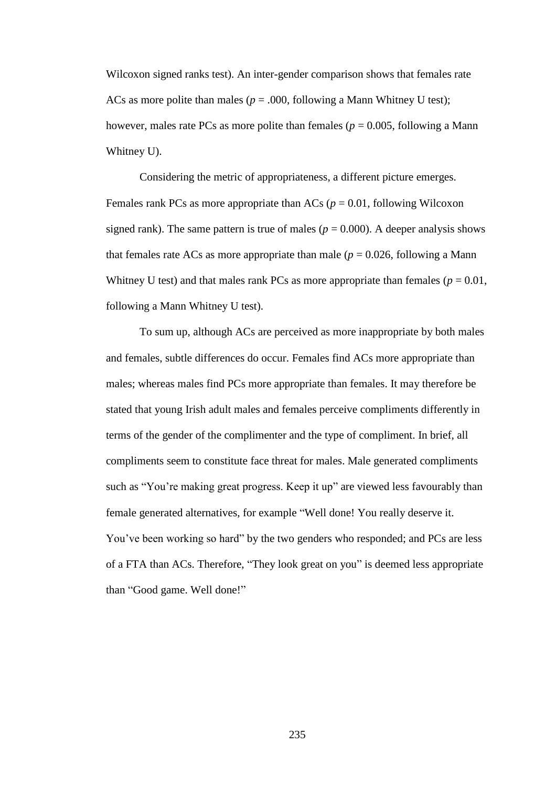Wilcoxon signed ranks test). An inter-gender comparison shows that females rate ACs as more polite than males ( $p = .000$ , following a Mann Whitney U test); however, males rate PCs as more polite than females ( $p = 0.005$ , following a Mann Whitney U).

Considering the metric of appropriateness, a different picture emerges. Females rank PCs as more appropriate than ACs ( $p = 0.01$ , following Wilcoxon signed rank). The same pattern is true of males ( $p = 0.000$ ). A deeper analysis shows that females rate ACs as more appropriate than male ( $p = 0.026$ , following a Mann Whitney U test) and that males rank PCs as more appropriate than females ( $p = 0.01$ , following a Mann Whitney U test).

To sum up, although ACs are perceived as more inappropriate by both males and females, subtle differences do occur. Females find ACs more appropriate than males; whereas males find PCs more appropriate than females. It may therefore be stated that young Irish adult males and females perceive compliments differently in terms of the gender of the complimenter and the type of compliment. In brief, all compliments seem to constitute face threat for males. Male generated compliments such as "You're making great progress. Keep it up" are viewed less favourably than female generated alternatives, for example "Well done! You really deserve it. You've been working so hard" by the two genders who responded; and PCs are less of a FTA than ACs. Therefore, "They look great on you" is deemed less appropriate than "Good game. Well done!"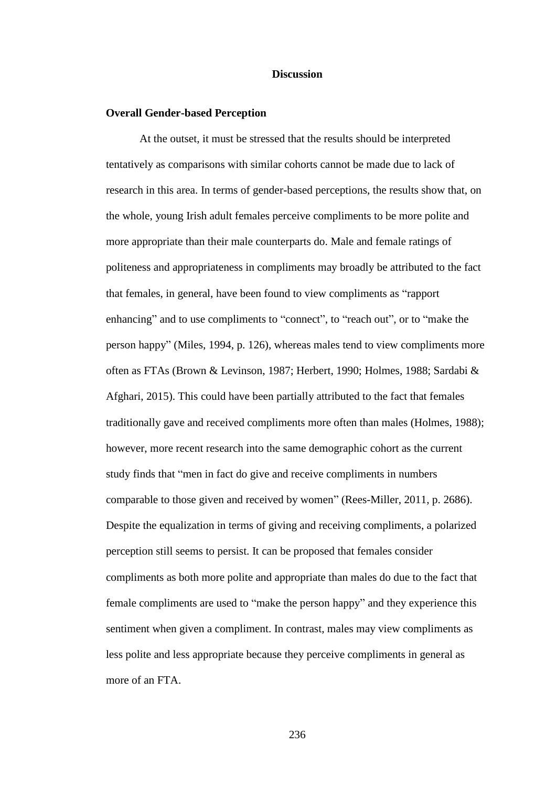### **Discussion**

#### **Overall Gender-based Perception**

At the outset, it must be stressed that the results should be interpreted tentatively as comparisons with similar cohorts cannot be made due to lack of research in this area. In terms of gender-based perceptions, the results show that, on the whole, young Irish adult females perceive compliments to be more polite and more appropriate than their male counterparts do. Male and female ratings of politeness and appropriateness in compliments may broadly be attributed to the fact that females, in general, have been found to view compliments as "rapport enhancing" and to use compliments to "connect", to "reach out", or to "make the person happy" (Miles, 1994, p. 126), whereas males tend to view compliments more often as FTAs (Brown & Levinson, 1987; Herbert, 1990; Holmes, 1988; Sardabi & Afghari, 2015). This could have been partially attributed to the fact that females traditionally gave and received compliments more often than males (Holmes, 1988); however, more recent research into the same demographic cohort as the current study finds that "men in fact do give and receive compliments in numbers comparable to those given and received by women" (Rees-Miller, 2011, p. 2686). Despite the equalization in terms of giving and receiving compliments, a polarized perception still seems to persist. It can be proposed that females consider compliments as both more polite and appropriate than males do due to the fact that female compliments are used to "make the person happy" and they experience this sentiment when given a compliment. In contrast, males may view compliments as less polite and less appropriate because they perceive compliments in general as more of an FTA.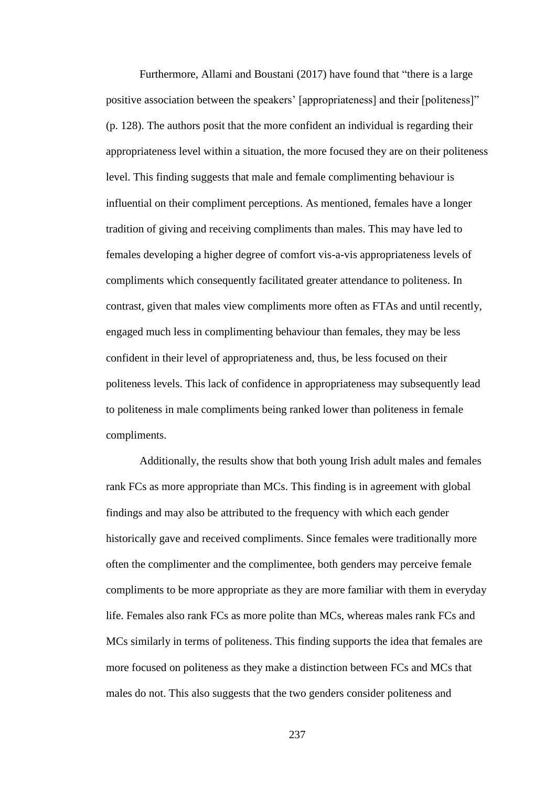Furthermore, Allami and Boustani (2017) have found that "there is a large positive association between the speakers' [appropriateness] and their [politeness]" (p. 128). The authors posit that the more confident an individual is regarding their appropriateness level within a situation, the more focused they are on their politeness level. This finding suggests that male and female complimenting behaviour is influential on their compliment perceptions. As mentioned, females have a longer tradition of giving and receiving compliments than males. This may have led to females developing a higher degree of comfort vis-a-vis appropriateness levels of compliments which consequently facilitated greater attendance to politeness. In contrast, given that males view compliments more often as FTAs and until recently, engaged much less in complimenting behaviour than females, they may be less confident in their level of appropriateness and, thus, be less focused on their politeness levels. This lack of confidence in appropriateness may subsequently lead to politeness in male compliments being ranked lower than politeness in female compliments.

Additionally, the results show that both young Irish adult males and females rank FCs as more appropriate than MCs. This finding is in agreement with global findings and may also be attributed to the frequency with which each gender historically gave and received compliments. Since females were traditionally more often the complimenter and the complimentee, both genders may perceive female compliments to be more appropriate as they are more familiar with them in everyday life. Females also rank FCs as more polite than MCs, whereas males rank FCs and MCs similarly in terms of politeness. This finding supports the idea that females are more focused on politeness as they make a distinction between FCs and MCs that males do not. This also suggests that the two genders consider politeness and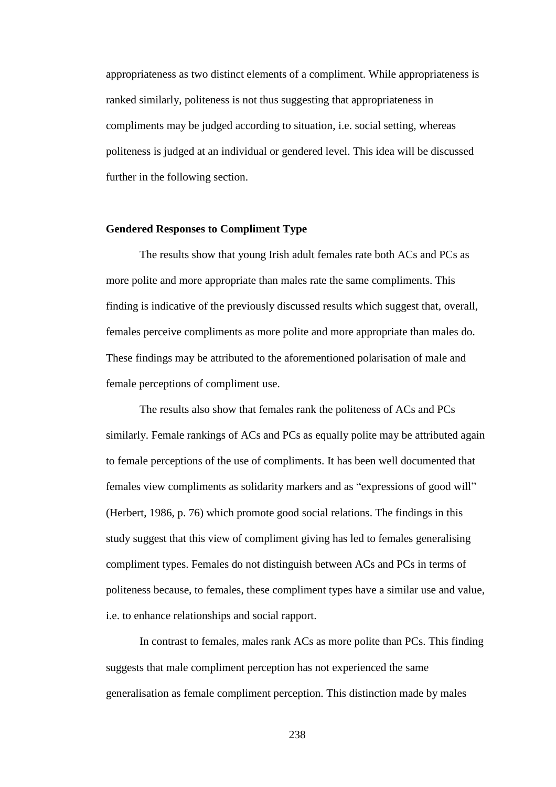appropriateness as two distinct elements of a compliment. While appropriateness is ranked similarly, politeness is not thus suggesting that appropriateness in compliments may be judged according to situation, i.e. social setting, whereas politeness is judged at an individual or gendered level. This idea will be discussed further in the following section.

### **Gendered Responses to Compliment Type**

The results show that young Irish adult females rate both ACs and PCs as more polite and more appropriate than males rate the same compliments. This finding is indicative of the previously discussed results which suggest that, overall, females perceive compliments as more polite and more appropriate than males do. These findings may be attributed to the aforementioned polarisation of male and female perceptions of compliment use.

The results also show that females rank the politeness of ACs and PCs similarly. Female rankings of ACs and PCs as equally polite may be attributed again to female perceptions of the use of compliments. It has been well documented that females view compliments as solidarity markers and as "expressions of good will" (Herbert, 1986, p. 76) which promote good social relations. The findings in this study suggest that this view of compliment giving has led to females generalising compliment types. Females do not distinguish between ACs and PCs in terms of politeness because, to females, these compliment types have a similar use and value, i.e. to enhance relationships and social rapport.

In contrast to females, males rank ACs as more polite than PCs. This finding suggests that male compliment perception has not experienced the same generalisation as female compliment perception. This distinction made by males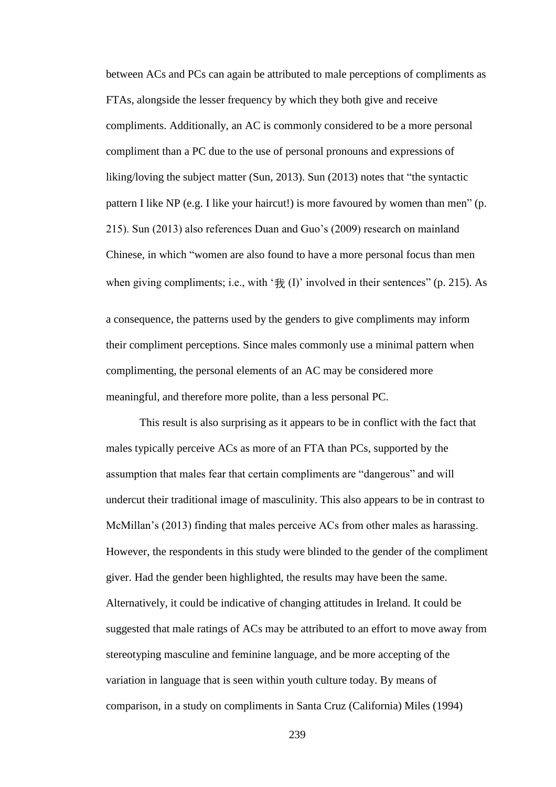between ACs and PCs can again be attributed to male perceptions of compliments as FTAs, alongside the lesser frequency by which they both give and receive compliments. Additionally, an AC is commonly considered to be a more personal compliment than a PC due to the use of personal pronouns and expressions of liking/loving the subject matter (Sun, 2013). Sun (2013) notes that "the syntactic pattern I like NP (e.g. I like your haircut!) is more favoured by women than men" (p. 215). Sun (2013) also references Duan and Guo's (2009) research on mainland Chinese, in which "women are also found to have a more personal focus than men when giving compliments; i.e., with ' $\frac{4}{10}$ ' involved in their sentences" (p. 215). As

a consequence, the patterns used by the genders to give compliments may inform their compliment perceptions. Since males commonly use a minimal pattern when complimenting, the personal elements of an AC may be considered more meaningful, and therefore more polite, than a less personal PC.

This result is also surprising as it appears to be in conflict with the fact that males typically perceive ACs as more of an FTA than PCs, supported by the assumption that males fear that certain compliments are "dangerous" and will undercut their traditional image of masculinity. This also appears to be in contrast to McMillan's (2013) finding that males perceive ACs from other males as harassing. However, the respondents in this study were blinded to the gender of the compliment giver. Had the gender been highlighted, the results may have been the same. Alternatively, it could be indicative of changing attitudes in Ireland. It could be suggested that male ratings of ACs may be attributed to an effort to move away from stereotyping masculine and feminine language, and be more accepting of the variation in language that is seen within youth culture today. By means of comparison, in a study on compliments in Santa Cruz (California) Miles (1994)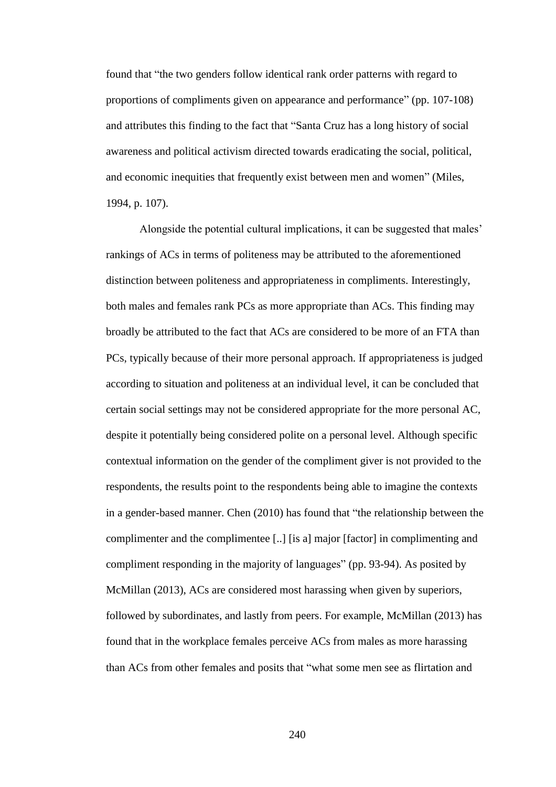found that "the two genders follow identical rank order patterns with regard to proportions of compliments given on appearance and performance" (pp. 107-108) and attributes this finding to the fact that "Santa Cruz has a long history of social awareness and political activism directed towards eradicating the social, political, and economic inequities that frequently exist between men and women" (Miles, 1994, p. 107).

Alongside the potential cultural implications, it can be suggested that males' rankings of ACs in terms of politeness may be attributed to the aforementioned distinction between politeness and appropriateness in compliments. Interestingly, both males and females rank PCs as more appropriate than ACs. This finding may broadly be attributed to the fact that ACs are considered to be more of an FTA than PCs, typically because of their more personal approach. If appropriateness is judged according to situation and politeness at an individual level, it can be concluded that certain social settings may not be considered appropriate for the more personal AC, despite it potentially being considered polite on a personal level. Although specific contextual information on the gender of the compliment giver is not provided to the respondents, the results point to the respondents being able to imagine the contexts in a gender-based manner. Chen (2010) has found that "the relationship between the complimenter and the complimentee [..] [is a] major [factor] in complimenting and compliment responding in the majority of languages" (pp. 93-94). As posited by McMillan (2013), ACs are considered most harassing when given by superiors, followed by subordinates, and lastly from peers. For example, McMillan (2013) has found that in the workplace females perceive ACs from males as more harassing than ACs from other females and posits that "what some men see as flirtation and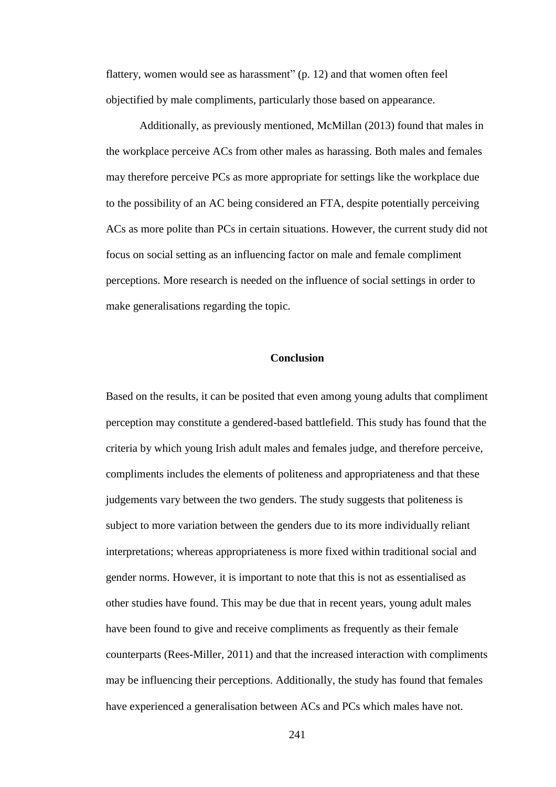flattery, women would see as harassment" (p. 12) and that women often feel objectified by male compliments, particularly those based on appearance.

Additionally, as previously mentioned, McMillan (2013) found that males in the workplace perceive ACs from other males as harassing. Both males and females may therefore perceive PCs as more appropriate for settings like the workplace due to the possibility of an AC being considered an FTA, despite potentially perceiving ACs as more polite than PCs in certain situations. However, the current study did not focus on social setting as an influencing factor on male and female compliment perceptions. More research is needed on the influence of social settings in order to make generalisations regarding the topic.

# **Conclusion**

Based on the results, it can be posited that even among young adults that compliment perception may constitute a gendered-based battlefield. This study has found that the criteria by which young Irish adult males and females judge, and therefore perceive, compliments includes the elements of politeness and appropriateness and that these judgements vary between the two genders. The study suggests that politeness is subject to more variation between the genders due to its more individually reliant interpretations; whereas appropriateness is more fixed within traditional social and gender norms. However, it is important to note that this is not as essentialised as other studies have found. This may be due that in recent years, young adult males have been found to give and receive compliments as frequently as their female counterparts (Rees-Miller, 2011) and that the increased interaction with compliments may be influencing their perceptions. Additionally, the study has found that females have experienced a generalisation between ACs and PCs which males have not.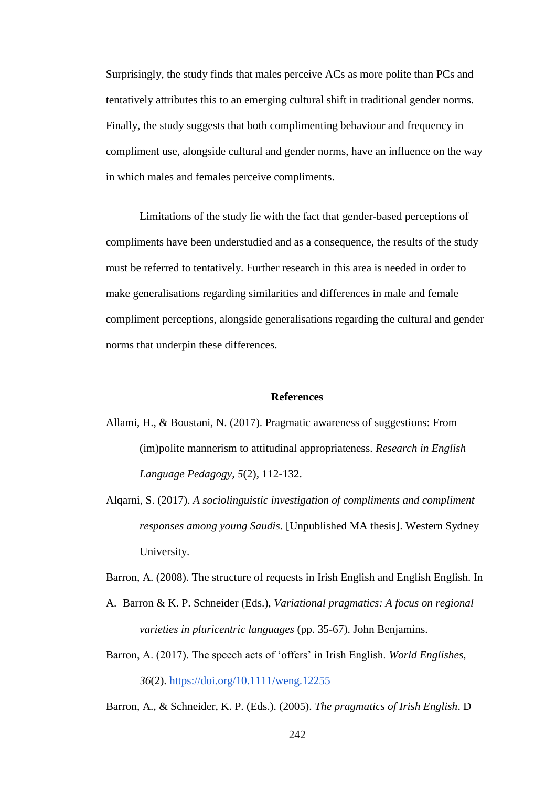Surprisingly, the study finds that males perceive ACs as more polite than PCs and tentatively attributes this to an emerging cultural shift in traditional gender norms. Finally, the study suggests that both complimenting behaviour and frequency in compliment use, alongside cultural and gender norms, have an influence on the way in which males and females perceive compliments.

Limitations of the study lie with the fact that gender-based perceptions of compliments have been understudied and as a consequence, the results of the study must be referred to tentatively. Further research in this area is needed in order to make generalisations regarding similarities and differences in male and female compliment perceptions, alongside generalisations regarding the cultural and gender norms that underpin these differences.

### **References**

- Allami, H., & Boustani, N. (2017). Pragmatic awareness of suggestions: From (im)polite mannerism to attitudinal appropriateness. *Research in English Language Pedagogy, 5*(2), 112-132.
- Alqarni, S. (2017). *A sociolinguistic investigation of compliments and compliment responses among young Saudis*. [Unpublished MA thesis]. Western Sydney University.

Barron, A. (2008). The structure of requests in Irish English and English English. In

- A. Barron & K. P. Schneider (Eds.), *Variational pragmatics: A focus on regional varieties in pluricentric languages* (pp. 35-67). John Benjamins.
- Barron, A. (2017). The speech acts of 'offers' in Irish English. *World Englishes, 36*(2).<https://doi.org/10.1111/weng.12255>

Barron, A., & Schneider, K. P. (Eds.). (2005). *The pragmatics of Irish English*. D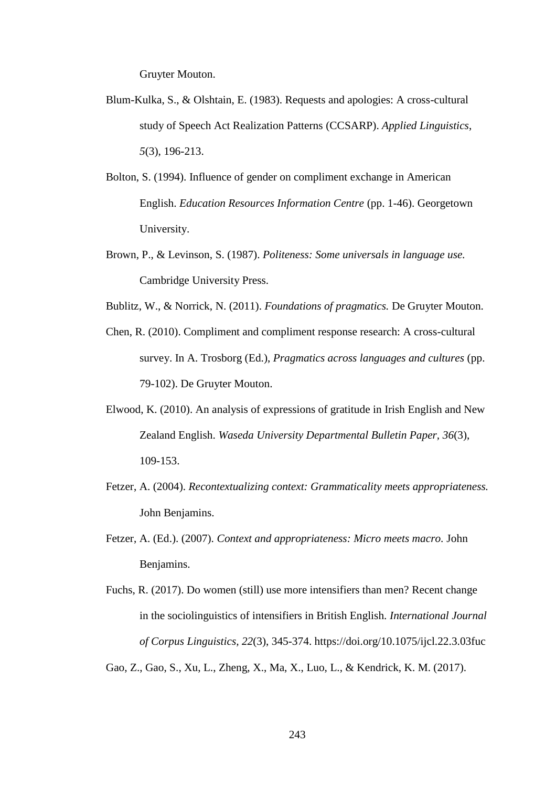Gruyter Mouton.

- Blum-Kulka, S., & Olshtain, E. (1983). Requests and apologies: A cross-cultural study of Speech Act Realization Patterns (CCSARP). *Applied Linguistics*, *5*(3), 196-213.
- Bolton, S. (1994). Influence of gender on compliment exchange in American English. *Education Resources Information Centre* (pp. 1-46). Georgetown University.
- Brown, P., & Levinson, S. (1987). *Politeness: Some universals in language use.* Cambridge University Press.
- Bublitz, W., & Norrick, N. (2011). *Foundations of pragmatics.* De Gruyter Mouton.
- Chen, R. (2010). Compliment and compliment response research: A cross-cultural survey. In A. Trosborg (Ed.), *Pragmatics across languages and cultures* (pp. 79-102). De Gruyter Mouton.
- Elwood, K. (2010). An analysis of expressions of gratitude in Irish English and New Zealand English. *Waseda University Departmental Bulletin Paper, 36*(3), 109-153.
- Fetzer, A. (2004). *Recontextualizing context: Grammaticality meets appropriateness.* John Benjamins.
- Fetzer, A. (Ed.). (2007). *Context and appropriateness: Micro meets macro.* John Benjamins.
- Fuchs, R. (2017). Do women (still) use more intensifiers than men? Recent change in the sociolinguistics of intensifiers in British English. *International Journal of Corpus Linguistics, 22*(3), 345-374. https://doi.org/10.1075/ijcl.22.3.03fuc

Gao, Z., Gao, S., Xu, L., Zheng, X., Ma, X., Luo, L., & Kendrick, K. M. (2017).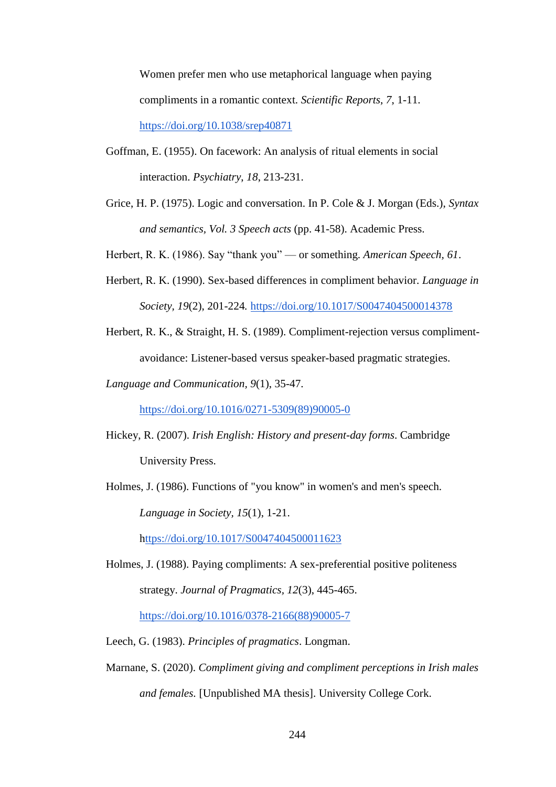Women prefer men who use metaphorical language when paying compliments in a romantic context. *Scientific Reports*, *7*, 1-11. <https://doi.org/10.1038/srep40871>

- Goffman, E. (1955). On facework: An analysis of ritual elements in social interaction. *Psychiatry*, *18*, 213-231.
- Grice, H. P. (1975). Logic and conversation. In P. Cole & J. Morgan (Eds.), *Syntax and semantics, Vol. 3 Speech acts* (pp. 41-58). Academic Press.

Herbert, R. K. (1986). Say "thank you" — or something. *American Speech, 61*.

- Herbert, R. K. (1990). Sex-based differences in compliment behavior. *Language in Society, 19*(2), 201-224*.* <https://doi.org/10.1017/S0047404500014378>
- Herbert, R. K., & Straight, H. S. (1989). Compliment-rejection versus complimentavoidance: Listener-based versus speaker-based pragmatic strategies.
- *Language and Communication, 9*(1), 35-47.

[https://doi.org/10.1016/0271-5309\(89\)90005-0](https://doi.org/10.1016/0271-5309(89)90005-0)

- Hickey, R. (2007). *Irish English: History and present-day forms*. Cambridge University Press.
- Holmes, J. (1986). Functions of "you know" in women's and men's speech. *Language in Society, 15*(1), 1-21.

<https://doi.org/10.1017/S0047404500011623>

Holmes, J. (1988). Paying compliments: A sex-preferential positive politeness strategy. *Journal of Pragmatics, 12*(3), 445-465. [https://doi.org/10.1016/0378-2166\(88\)90005-7](https://doi.org/10.1016/0378-2166(88)90005-7)

Leech, G. (1983). *Principles of pragmatics*. Longman.

Marnane, S. (2020). *Compliment giving and compliment perceptions in Irish males and females.* [Unpublished MA thesis]. University College Cork.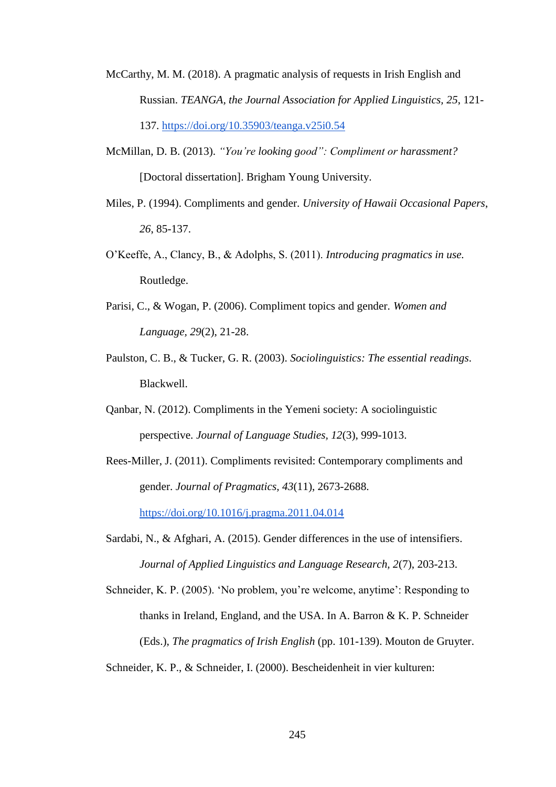- McCarthy, M. M. (2018). A pragmatic analysis of requests in Irish English and Russian. *TEANGA, the Journal Association for Applied Linguistics, 25*, 121- 137.<https://doi.org/10.35903/teanga.v25i0.54>
- McMillan, D. B. (2013). *"You're looking good": Compliment or harassment?* [Doctoral dissertation]. Brigham Young University.
- Miles, P. (1994). Compliments and gender. *University of Hawaii Occasional Papers*, *26*, 85-137.
- O'Keeffe, A., Clancy, B., & Adolphs, S. (2011). *Introducing pragmatics in use.*  Routledge.
- Parisi, C., & Wogan, P. (2006). Compliment topics and gender. *Women and Language, 29*(2), 21-28.
- Paulston, C. B., & Tucker, G. R. (2003). *Sociolinguistics: The essential readings*. Blackwell.
- Qanbar, N. (2012). Compliments in the Yemeni society: A sociolinguistic perspective. *Journal of Language Studies, 12*(3), 999-1013.
- Rees-Miller, J. (2011). Compliments revisited: Contemporary compliments and gender. *Journal of Pragmatics, 43*(11), 2673-2688. <https://doi.org/10.1016/j.pragma.2011.04.014>
- Sardabi, N., & Afghari, A. (2015). Gender differences in the use of intensifiers. *Journal of Applied Linguistics and Language Research, 2*(7), 203-213.
- Schneider, K. P. (2005). 'No problem, you're welcome, anytime': Responding to thanks in Ireland, England, and the USA. In A. Barron & K. P. Schneider (Eds.), *The pragmatics of Irish English* (pp. 101-139). Mouton de Gruyter.

Schneider, K. P., & Schneider, I. (2000). Bescheidenheit in vier kulturen: